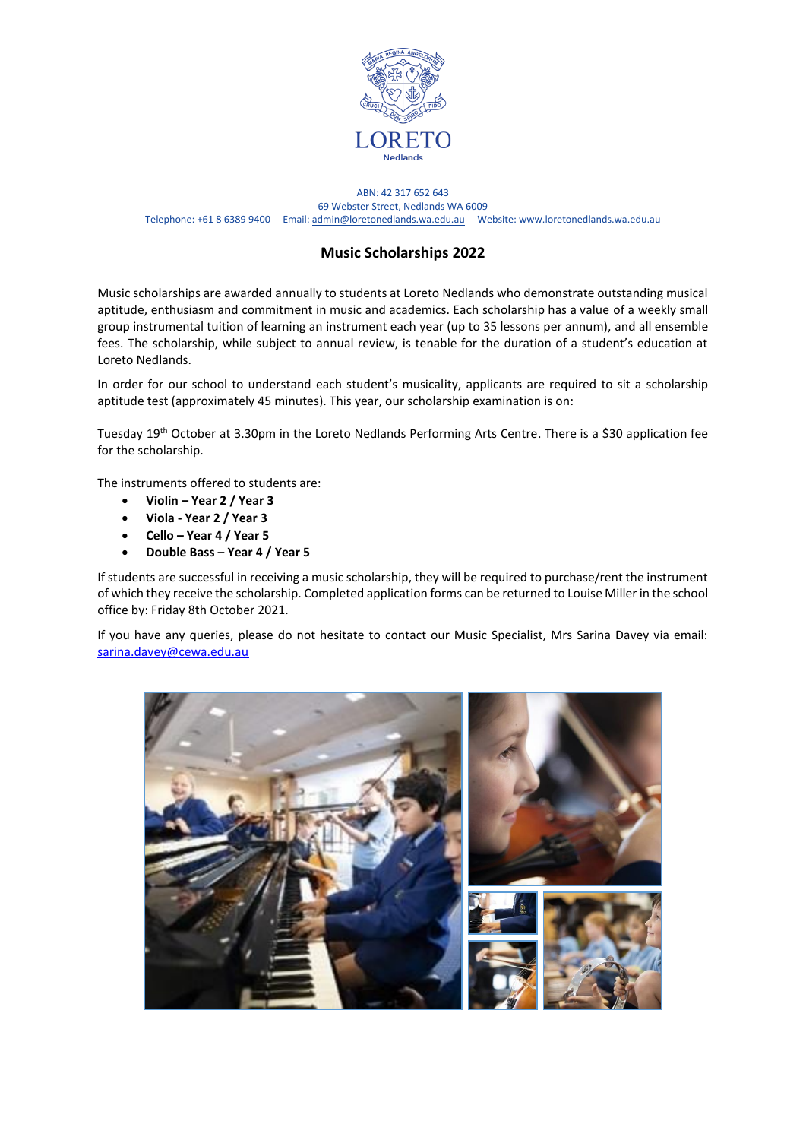

ABN: 42 317 652 643 69 Webster Street, Nedlands WA 6009 Telephone: +61 8 6389 9400 Email[: admin@loretonedlands.wa.edu.au](mailto:admin@loretonedlands.wa.edu.au) Website: www.loretonedlands.wa.edu.au

## **Music Scholarships 2022**

Music scholarships are awarded annually to students at Loreto Nedlands who demonstrate outstanding musical aptitude, enthusiasm and commitment in music and academics. Each scholarship has a value of a weekly small group instrumental tuition of learning an instrument each year (up to 35 lessons per annum), and all ensemble fees. The scholarship, while subject to annual review, is tenable for the duration of a student's education at Loreto Nedlands.

In order for our school to understand each student's musicality, applicants are required to sit a scholarship aptitude test (approximately 45 minutes). This year, our scholarship examination is on:

Tuesday 19th October at 3.30pm in the Loreto Nedlands Performing Arts Centre. There is a \$30 application fee for the scholarship.

The instruments offered to students are:

- **Violin – Year 2 / Year 3**
- **Viola - Year 2 / Year 3**
- **Cello – Year 4 / Year 5**
- **Double Bass – Year 4 / Year 5**

If students are successful in receiving a music scholarship, they will be required to purchase/rent the instrument of which they receive the scholarship. Completed application forms can be returned to Louise Miller in the school office by: Friday 8th October 2021.

If you have any queries, please do not hesitate to contact our Music Specialist, Mrs Sarina Davey via email: [sarina.davey@cewa.edu.au](mailto:sarina.davey@cewa.edu.au)